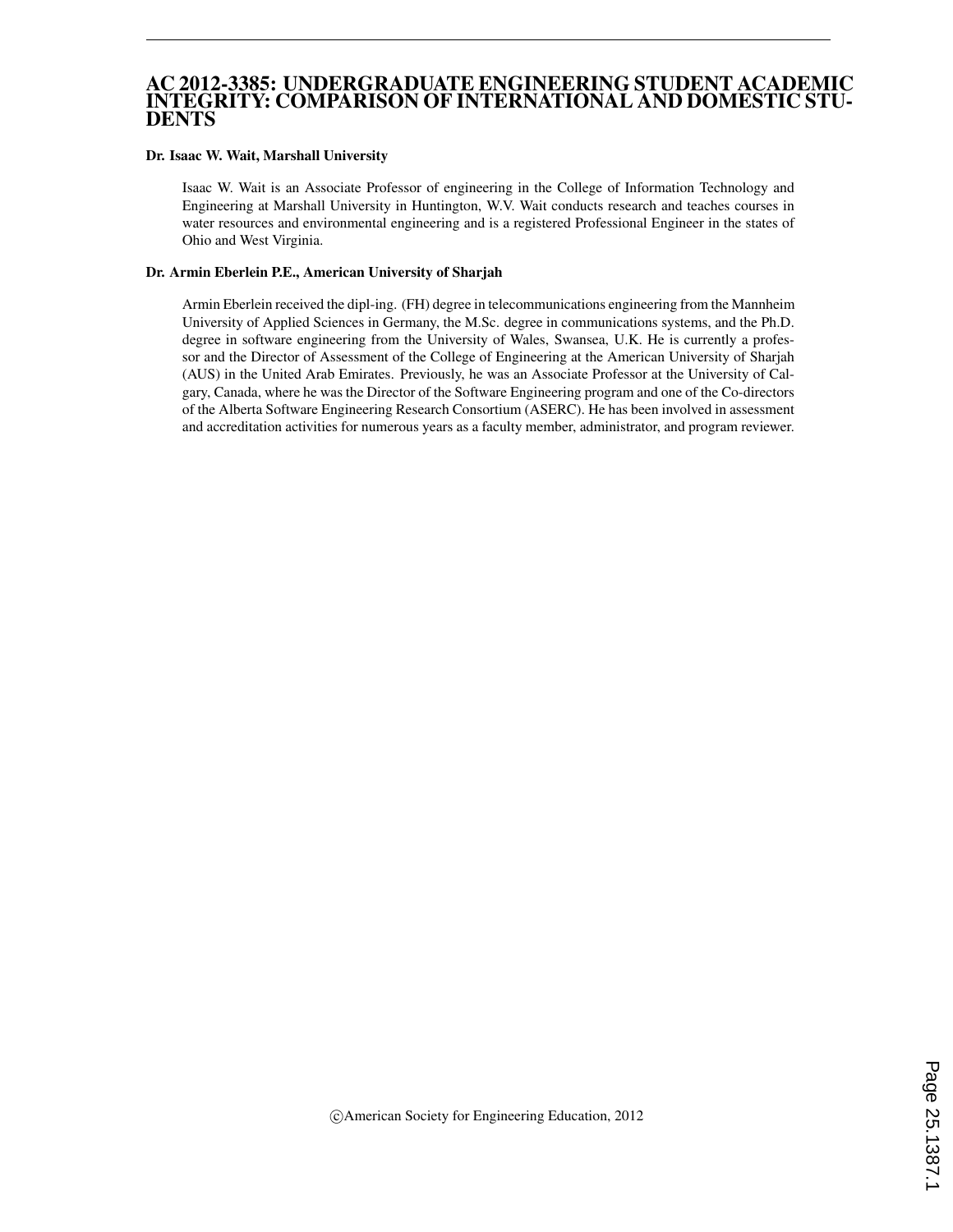#### AC 2012-3385: UNDERGRADUATE ENGINEERING STUDENT ACADEMIC INTEGRITY: COMPARISON OF INTERNATIONAL AND DOMESTIC STU-DENTS

#### Dr. Isaac W. Wait, Marshall University

Isaac W. Wait is an Associate Professor of engineering in the College of Information Technology and Engineering at Marshall University in Huntington, W.V. Wait conducts research and teaches courses in water resources and environmental engineering and is a registered Professional Engineer in the states of Ohio and West Virginia.

#### Dr. Armin Eberlein P.E., American University of Sharjah

Armin Eberlein received the dipl-ing. (FH) degree in telecommunications engineering from the Mannheim University of Applied Sciences in Germany, the M.Sc. degree in communications systems, and the Ph.D. degree in software engineering from the University of Wales, Swansea, U.K. He is currently a professor and the Director of Assessment of the College of Engineering at the American University of Sharjah (AUS) in the United Arab Emirates. Previously, he was an Associate Professor at the University of Calgary, Canada, where he was the Director of the Software Engineering program and one of the Co-directors of the Alberta Software Engineering Research Consortium (ASERC). He has been involved in assessment and accreditation activities for numerous years as a faculty member, administrator, and program reviewer.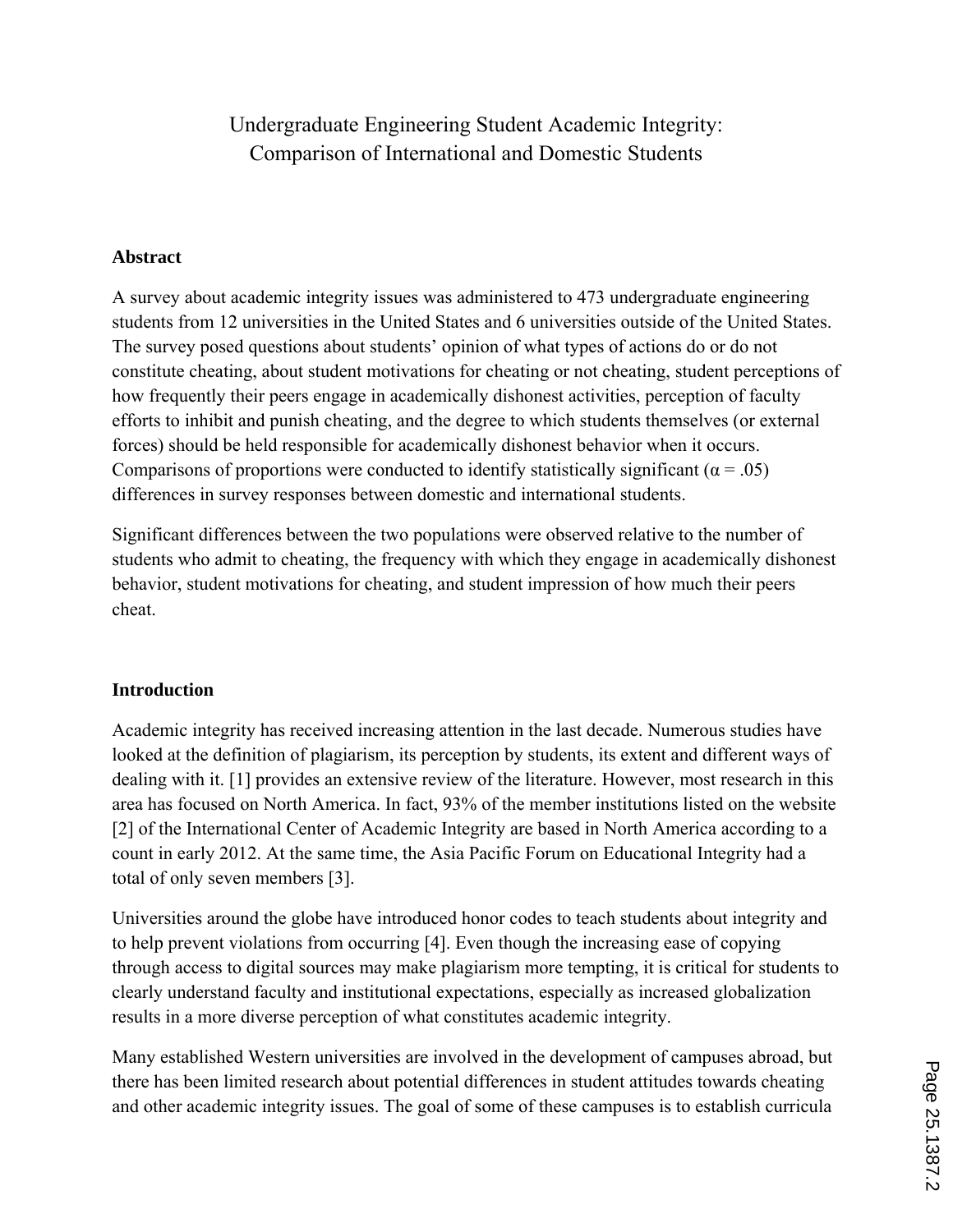# Undergraduate Engineering Student Academic Integrity: Comparison of International and Domestic Students

## **Abstract**

A survey about academic integrity issues was administered to 473 undergraduate engineering students from 12 universities in the United States and 6 universities outside of the United States. The survey posed questions about students' opinion of what types of actions do or do not constitute cheating, about student motivations for cheating or not cheating, student perceptions of how frequently their peers engage in academically dishonest activities, perception of faculty efforts to inhibit and punish cheating, and the degree to which students themselves (or external forces) should be held responsible for academically dishonest behavior when it occurs. Comparisons of proportions were conducted to identify statistically significant ( $\alpha$  = .05) differences in survey responses between domestic and international students.

Significant differences between the two populations were observed relative to the number of students who admit to cheating, the frequency with which they engage in academically dishonest behavior, student motivations for cheating, and student impression of how much their peers cheat.

## **Introduction**

Academic integrity has received increasing attention in the last decade. Numerous studies have looked at the definition of plagiarism, its perception by students, its extent and different ways of dealing with it. [1] provides an extensive review of the literature. However, most research in this area has focused on North America. In fact, 93% of the member institutions listed on the website [2] of the International Center of Academic Integrity are based in North America according to a count in early 2012. At the same time, the Asia Pacific Forum on Educational Integrity had a total of only seven members [3].

Universities around the globe have introduced honor codes to teach students about integrity and to help prevent violations from occurring [4]. Even though the increasing ease of copying through access to digital sources may make plagiarism more tempting, it is critical for students to clearly understand faculty and institutional expectations, especially as increased globalization results in a more diverse perception of what constitutes academic integrity.

Many established Western universities are involved in the development of campuses abroad, but there has been limited research about potential differences in student attitudes towards cheating and other academic integrity issues. The goal of some of these campuses is to establish curricula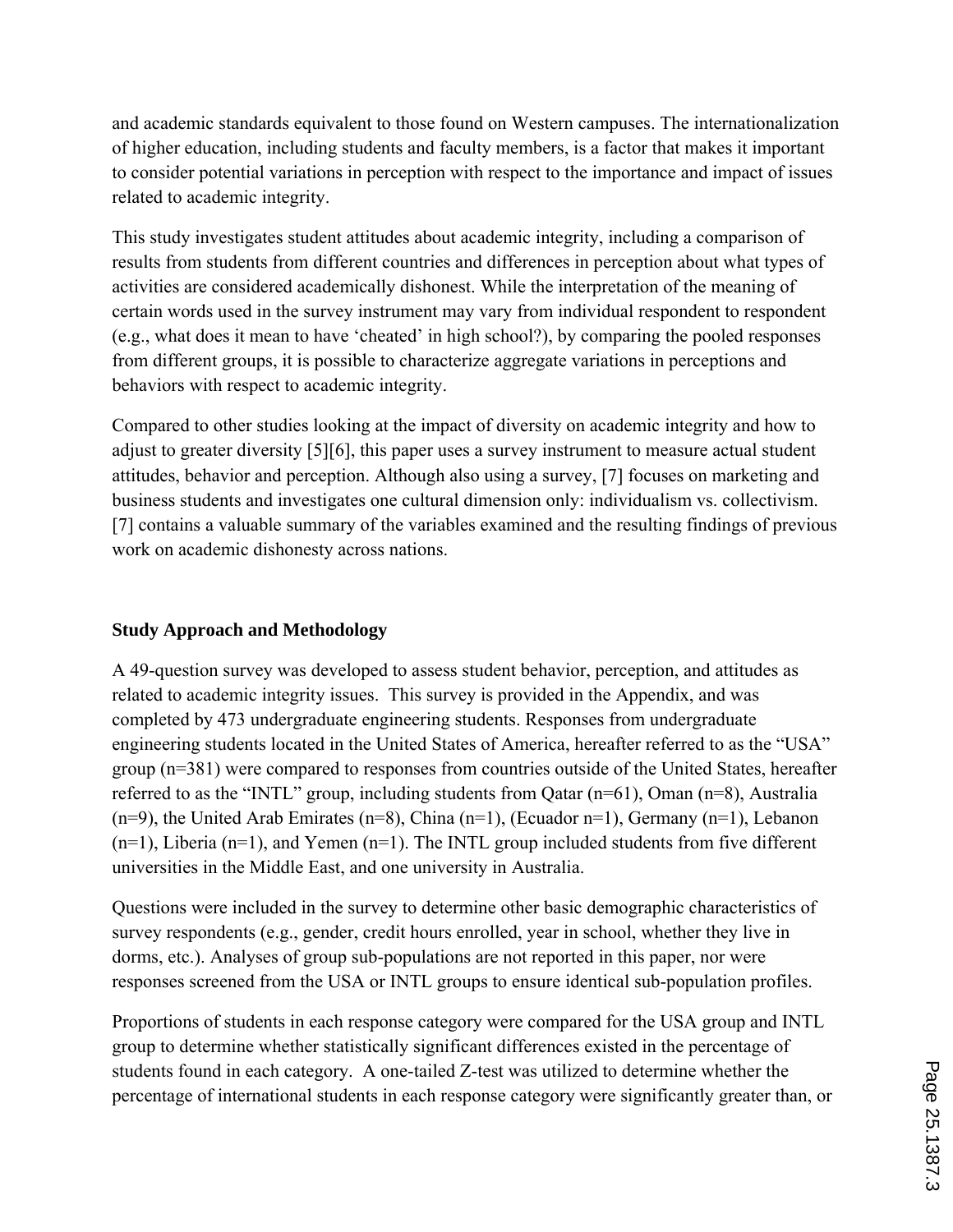and academic standards equivalent to those found on Western campuses. The internationalization of higher education, including students and faculty members, is a factor that makes it important to consider potential variations in perception with respect to the importance and impact of issues related to academic integrity.

This study investigates student attitudes about academic integrity, including a comparison of results from students from different countries and differences in perception about what types of activities are considered academically dishonest. While the interpretation of the meaning of certain words used in the survey instrument may vary from individual respondent to respondent (e.g., what does it mean to have 'cheated' in high school?), by comparing the pooled responses from different groups, it is possible to characterize aggregate variations in perceptions and behaviors with respect to academic integrity.

Compared to other studies looking at the impact of diversity on academic integrity and how to adjust to greater diversity [5][6], this paper uses a survey instrument to measure actual student attitudes, behavior and perception. Although also using a survey, [7] focuses on marketing and business students and investigates one cultural dimension only: individualism vs. collectivism. [7] contains a valuable summary of the variables examined and the resulting findings of previous work on academic dishonesty across nations.

## **Study Approach and Methodology**

A 49-question survey was developed to assess student behavior, perception, and attitudes as related to academic integrity issues. This survey is provided in the Appendix, and was completed by 473 undergraduate engineering students. Responses from undergraduate engineering students located in the United States of America, hereafter referred to as the "USA" group (n=381) were compared to responses from countries outside of the United States, hereafter referred to as the "INTL" group, including students from Qatar (n=61), Oman (n=8), Australia  $(n=9)$ , the United Arab Emirates  $(n=8)$ , China  $(n=1)$ , (Ecuador n=1), Germany  $(n=1)$ , Lebanon  $(n=1)$ , Liberia  $(n=1)$ , and Yemen  $(n=1)$ . The INTL group included students from five different universities in the Middle East, and one university in Australia.

Questions were included in the survey to determine other basic demographic characteristics of survey respondents (e.g., gender, credit hours enrolled, year in school, whether they live in dorms, etc.). Analyses of group sub-populations are not reported in this paper, nor were responses screened from the USA or INTL groups to ensure identical sub-population profiles.

Proportions of students in each response category were compared for the USA group and INTL group to determine whether statistically significant differences existed in the percentage of students found in each category. A one-tailed Z-test was utilized to determine whether the percentage of international students in each response category were significantly greater than, or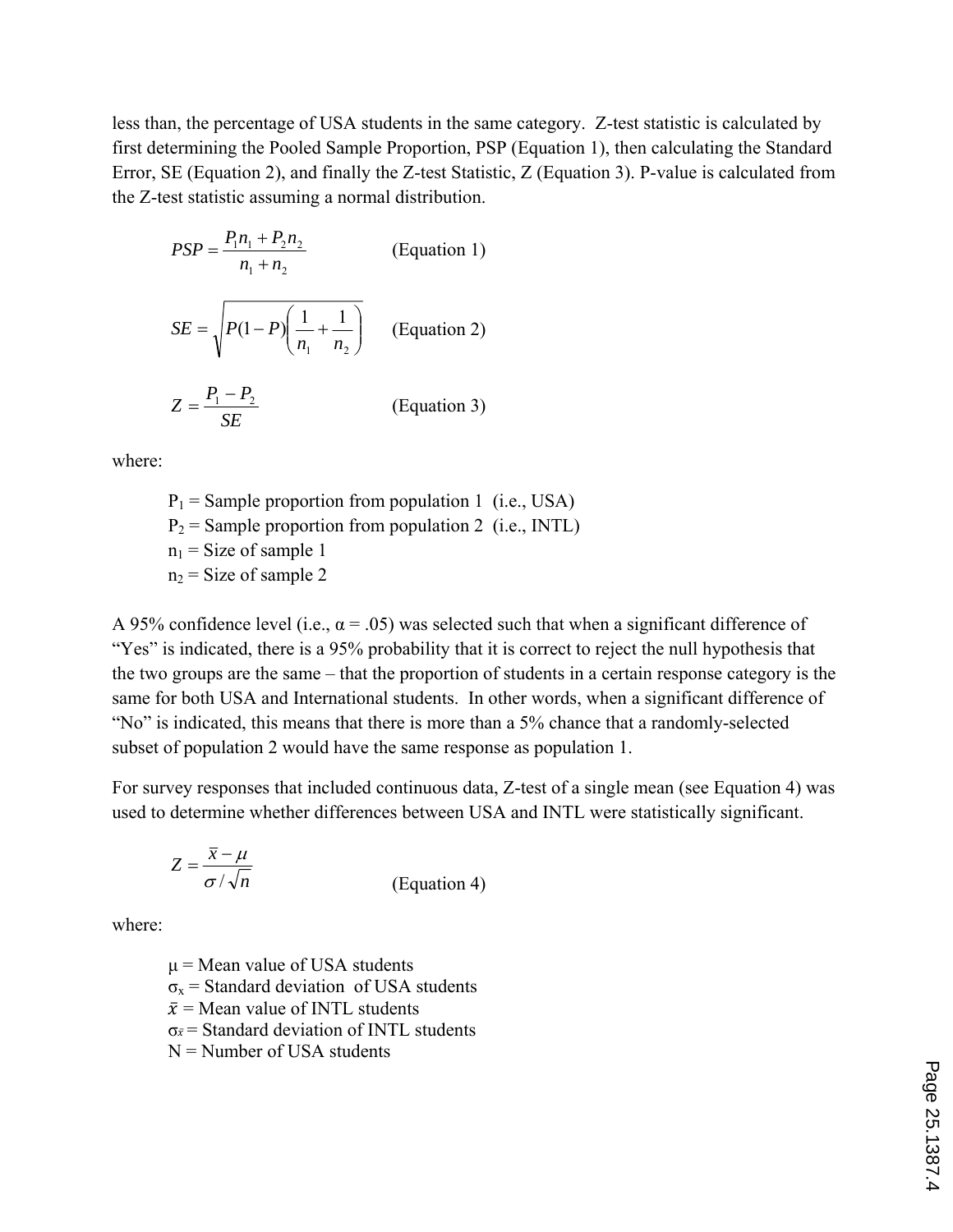less than, the percentage of USA students in the same category. Z-test statistic is calculated by first determining the Pooled Sample Proportion, PSP (Equation 1), then calculating the Standard Error, SE (Equation 2), and finally the Z-test Statistic, Z (Equation 3). P-value is calculated from the Z-test statistic assuming a normal distribution.

$$
PSP = \frac{P_1 n_1 + P_2 n_2}{n_1 + n_2}
$$
 (Equation 1)  

$$
SE = \sqrt{P(1 - P)\left(\frac{1}{n_1} + \frac{1}{n_2}\right)}
$$
 (Equation 2)  

$$
Z = \frac{P_1 - P_2}{SE}
$$
 (Equation 3)

where:

 $P_1$  = Sample proportion from population 1 (i.e., USA)  $P_2$  = Sample proportion from population 2 (i.e., INTL)  $n_1$  = Size of sample 1  $n_2$  = Size of sample 2

A 95% confidence level (i.e.,  $\alpha$  = .05) was selected such that when a significant difference of "Yes" is indicated, there is a 95% probability that it is correct to reject the null hypothesis that the two groups are the same – that the proportion of students in a certain response category is the same for both USA and International students. In other words, when a significant difference of "No" is indicated, this means that there is more than a 5% chance that a randomly-selected subset of population 2 would have the same response as population 1.

For survey responses that included continuous data, Z-test of a single mean (see Equation 4) was used to determine whether differences between USA and INTL were statistically significant.

$$
Z = \frac{\overline{x} - \mu}{\sigma / \sqrt{n}}
$$
 (Equation 4)

where:

 $\mu$  = Mean value of USA students  $\sigma_x$  = Standard deviation of USA students  $\bar{x}$  = Mean value of INTL students  $\sigma_{\bar{x}}$  = Standard deviation of INTL students  $N =$  Number of USA students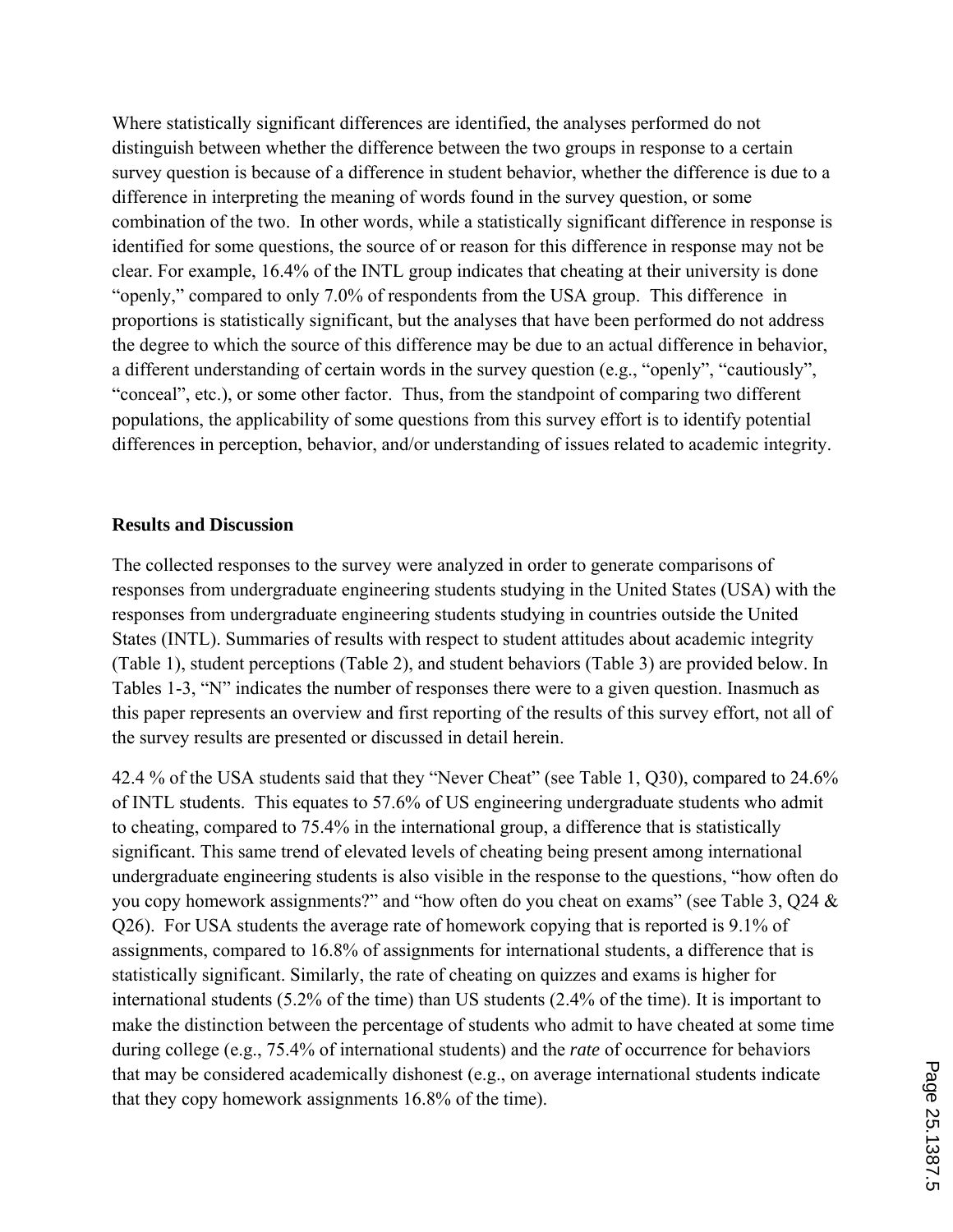Where statistically significant differences are identified, the analyses performed do not distinguish between whether the difference between the two groups in response to a certain survey question is because of a difference in student behavior, whether the difference is due to a difference in interpreting the meaning of words found in the survey question, or some combination of the two. In other words, while a statistically significant difference in response is identified for some questions, the source of or reason for this difference in response may not be clear. For example, 16.4% of the INTL group indicates that cheating at their university is done "openly," compared to only 7.0% of respondents from the USA group. This difference in proportions is statistically significant, but the analyses that have been performed do not address the degree to which the source of this difference may be due to an actual difference in behavior, a different understanding of certain words in the survey question (e.g., "openly", "cautiously", "conceal", etc.), or some other factor. Thus, from the standpoint of comparing two different populations, the applicability of some questions from this survey effort is to identify potential differences in perception, behavior, and/or understanding of issues related to academic integrity.

#### **Results and Discussion**

The collected responses to the survey were analyzed in order to generate comparisons of responses from undergraduate engineering students studying in the United States (USA) with the responses from undergraduate engineering students studying in countries outside the United States (INTL). Summaries of results with respect to student attitudes about academic integrity (Table 1), student perceptions (Table 2), and student behaviors (Table 3) are provided below. In Tables 1-3, "N" indicates the number of responses there were to a given question. Inasmuch as this paper represents an overview and first reporting of the results of this survey effort, not all of the survey results are presented or discussed in detail herein.

42.4 % of the USA students said that they "Never Cheat" (see Table 1, Q30), compared to 24.6% of INTL students. This equates to 57.6% of US engineering undergraduate students who admit to cheating, compared to 75.4% in the international group, a difference that is statistically significant. This same trend of elevated levels of cheating being present among international undergraduate engineering students is also visible in the response to the questions, "how often do you copy homework assignments?" and "how often do you cheat on exams" (see Table 3, Q24 & Q26). For USA students the average rate of homework copying that is reported is 9.1% of assignments, compared to 16.8% of assignments for international students, a difference that is statistically significant. Similarly, the rate of cheating on quizzes and exams is higher for international students (5.2% of the time) than US students (2.4% of the time). It is important to make the distinction between the percentage of students who admit to have cheated at some time during college (e.g., 75.4% of international students) and the *rate* of occurrence for behaviors that may be considered academically dishonest (e.g., on average international students indicate that they copy homework assignments 16.8% of the time).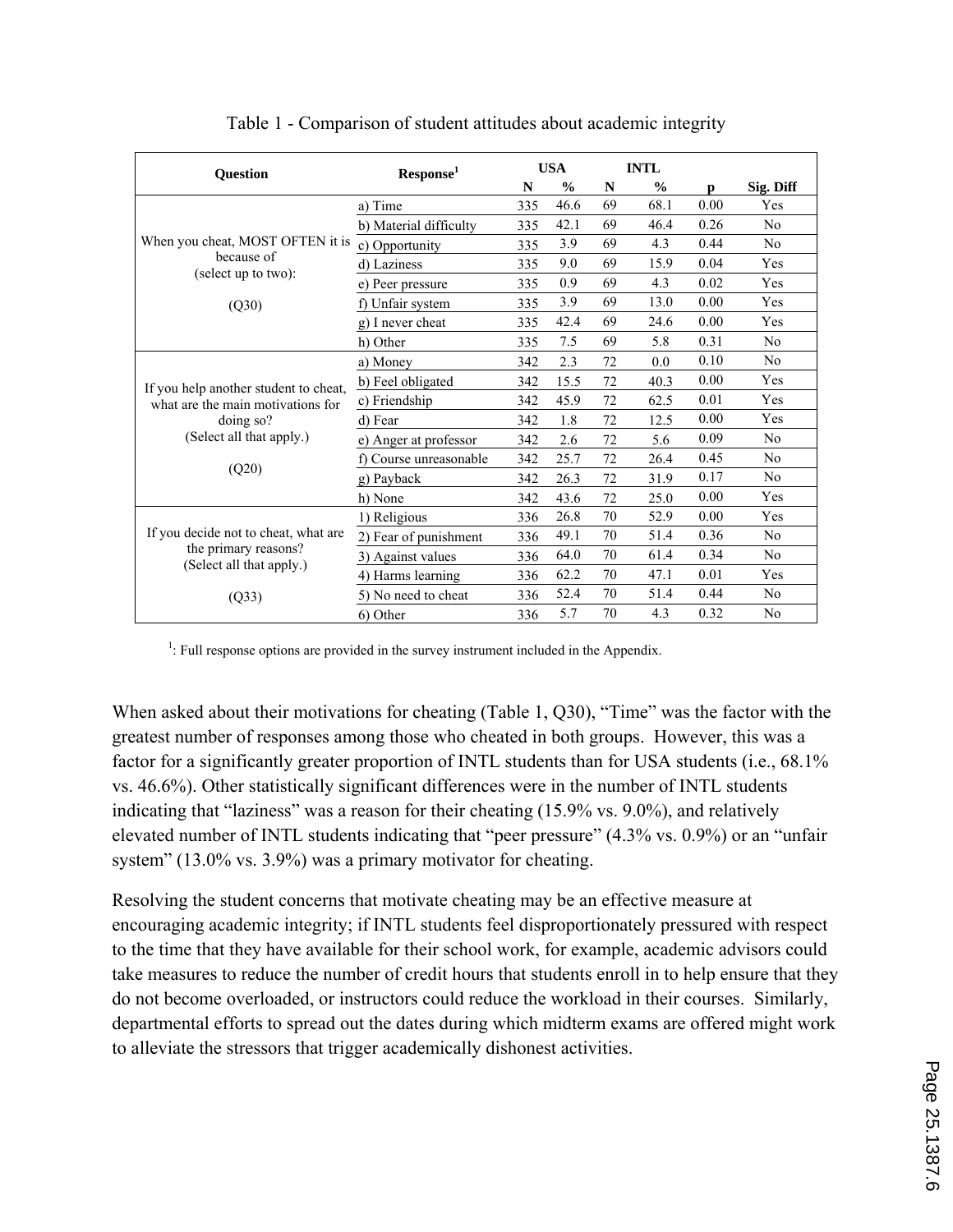| Question                                                                                 | Response <sup>1</sup>  |     | <b>USA</b>    |    | <b>INTL</b>   |      |                |
|------------------------------------------------------------------------------------------|------------------------|-----|---------------|----|---------------|------|----------------|
|                                                                                          |                        | N   | $\frac{0}{0}$ | N  | $\frac{0}{0}$ | n    | Sig. Diff      |
|                                                                                          | a) Time                | 335 | 46.6          | 69 | 68.1          | 0.00 | Yes            |
|                                                                                          | b) Material difficulty | 335 | 42.1          | 69 | 46.4          | 0.26 | N <sub>0</sub> |
| When you cheat, MOST OFTEN it is                                                         | c) Opportunity         | 335 | 3.9           | 69 | 4.3           | 0.44 | N <sub>0</sub> |
| because of<br>(select up to two):                                                        | d) Laziness            | 335 | 9.0           | 69 | 15.9          | 0.04 | Yes            |
|                                                                                          | e) Peer pressure       | 335 | 0.9           | 69 | 4.3           | 0.02 | Yes            |
| (Q30)                                                                                    | f) Unfair system       | 335 | 3.9           | 69 | 13.0          | 0.00 | Yes            |
|                                                                                          | g) I never cheat       | 335 | 42.4          | 69 | 24.6          | 0.00 | Yes            |
|                                                                                          | h) Other               | 335 | 7.5           | 69 | 5.8           | 0.31 | N <sub>0</sub> |
|                                                                                          | a) Money               | 342 | 2.3           | 72 | 0.0           | 0.10 | N <sub>0</sub> |
| If you help another student to cheat,                                                    | b) Feel obligated      | 342 | 15.5          | 72 | 40.3          | 0.00 | Yes            |
| what are the main motivations for                                                        | c) Friendship          | 342 | 45.9          | 72 | 62.5          | 0.01 | Yes            |
| $\frac{1}{2}$ doing so?                                                                  | d) Fear                | 342 | 1.8           | 72 | 12.5          | 0.00 | Yes            |
| (Select all that apply.)<br>(Q20)                                                        | e) Anger at professor  | 342 | 2.6           | 72 | 5.6           | 0.09 | N <sub>0</sub> |
|                                                                                          | f) Course unreasonable | 342 | 25.7          | 72 | 26.4          | 0.45 | N <sub>0</sub> |
|                                                                                          | g) Payback             | 342 | 26.3          | 72 | 31.9          | 0.17 | N <sub>0</sub> |
|                                                                                          | h) None                | 342 | 43.6          | 72 | 25.0          | 0.00 | Yes            |
| If you decide not to cheat, what are<br>the primary reasons?<br>(Select all that apply.) | 1) Religious           | 336 | 26.8          | 70 | 52.9          | 0.00 | Yes            |
|                                                                                          | 2) Fear of punishment  | 336 | 49.1          | 70 | 51.4          | 0.36 | N <sub>0</sub> |
|                                                                                          | 3) Against values      | 336 | 64.0          | 70 | 61.4          | 0.34 | N <sub>0</sub> |
|                                                                                          | 4) Harms learning      | 336 | 62.2          | 70 | 47.1          | 0.01 | Yes            |
| (Q33)                                                                                    | 5) No need to cheat    | 336 | 52.4          | 70 | 51.4          | 0.44 | N <sub>0</sub> |
|                                                                                          | 6) Other               | 336 | 5.7           | 70 | 4.3           | 0.32 | No             |

Table 1 - Comparison of student attitudes about academic integrity

 $<sup>1</sup>$ : Full response options are provided in the survey instrument included in the Appendix.</sup>

When asked about their motivations for cheating (Table 1, Q30), "Time" was the factor with the greatest number of responses among those who cheated in both groups. However, this was a factor for a significantly greater proportion of INTL students than for USA students (i.e., 68.1%) vs. 46.6%). Other statistically significant differences were in the number of INTL students indicating that "laziness" was a reason for their cheating (15.9% vs. 9.0%), and relatively elevated number of INTL students indicating that "peer pressure" (4.3% vs. 0.9%) or an "unfair system" (13.0% vs. 3.9%) was a primary motivator for cheating.

Resolving the student concerns that motivate cheating may be an effective measure at encouraging academic integrity; if INTL students feel disproportionately pressured with respect to the time that they have available for their school work, for example, academic advisors could take measures to reduce the number of credit hours that students enroll in to help ensure that they do not become overloaded, or instructors could reduce the workload in their courses. Similarly, departmental efforts to spread out the dates during which midterm exams are offered might work to alleviate the stressors that trigger academically dishonest activities.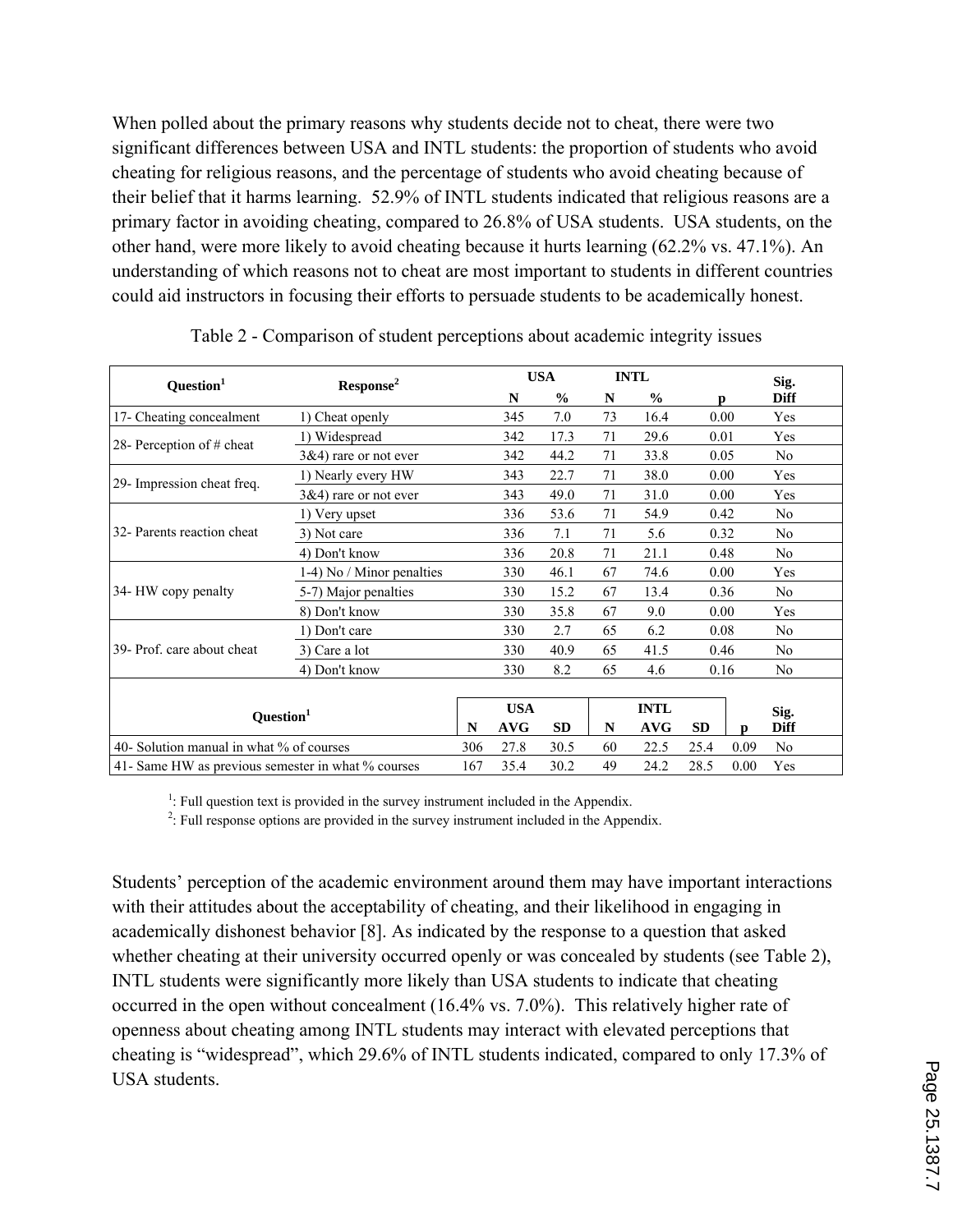When polled about the primary reasons why students decide not to cheat, there were two significant differences between USA and INTL students: the proportion of students who avoid cheating for religious reasons, and the percentage of students who avoid cheating because of their belief that it harms learning. 52.9% of INTL students indicated that religious reasons are a primary factor in avoiding cheating, compared to 26.8% of USA students. USA students, on the other hand, were more likely to avoid cheating because it hurts learning (62.2% vs. 47.1%). An understanding of which reasons not to cheat are most important to students in different countries could aid instructors in focusing their efforts to persuade students to be academically honest.

| Question <sup>1</sup>                              | Response <sup>2</sup>     |     | <b>USA</b> |           |    | <b>INTL</b> |                           | Sig.        |
|----------------------------------------------------|---------------------------|-----|------------|-----------|----|-------------|---------------------------|-------------|
|                                                    |                           |     | N          | $\%$      | N  | $\%$        | D                         | Diff        |
| 17- Cheating concealment                           | 1) Cheat openly           |     | 345        | 7.0       | 73 | 16.4        | 0.00                      | Yes         |
| 28- Perception of # cheat                          | 1) Widespread             |     | 342        | 17.3      | 71 | 29.6        | 0.01                      | Yes         |
|                                                    | $3&4)$ rare or not ever   |     | 342        | 44.2      | 71 | 33.8        | 0.05                      | No          |
| 29- Impression cheat freq.                         | 1) Nearly every HW        |     | 343        | 22.7      | 71 | 38.0        | 0.00                      | Yes         |
|                                                    | $3&4)$ rare or not ever   |     | 343        | 49.0      | 71 | 31.0        | 0.00                      | Yes         |
| 32- Parents reaction cheat                         | 1) Very upset             |     | 336        | 53.6      | 71 | 54.9        | 0.42                      | No          |
|                                                    | 3) Not care               |     | 336        | 7.1       | 71 | 5.6         | 0.32                      | No          |
|                                                    | 4) Don't know             |     | 336        | 20.8      | 71 | 21.1        | 0.48                      | No          |
| 34- HW copy penalty                                | 1-4) No / Minor penalties |     | 330        | 46.1      | 67 | 74.6        | 0.00                      | Yes         |
|                                                    | 5-7) Major penalties      |     | 330        | 15.2      | 67 | 13.4        | 0.36                      | No          |
|                                                    | 8) Don't know             |     | 330        | 35.8      | 67 | 9.0         | 0.00                      | Yes         |
| 39- Prof. care about cheat                         | 1) Don't care             |     | 330        | 2.7       | 65 | 6.2         | 0.08                      | No          |
|                                                    | 3) Care a lot             |     | 330        | 40.9      | 65 | 41.5        | 0.46                      | No          |
|                                                    | 4) Don't know             |     | 330        | 8.2       | 65 | 4.6         | 0.16                      | No.         |
|                                                    |                           |     |            |           |    |             |                           |             |
| Question <sup>1</sup>                              |                           |     | <b>USA</b> |           |    | <b>INTL</b> |                           | Sig.        |
|                                                    |                           | N   | <b>AVG</b> | <b>SD</b> | N  | AVG         | <b>SD</b><br>$\mathbf{D}$ | <b>Diff</b> |
| 40- Solution manual in what % of courses           |                           | 306 | 27.8       | 30.5      | 60 | 22.5        | 25.4<br>0.09              | No          |
| 41- Same HW as previous semester in what % courses |                           | 167 | 35.4       | 30.2      | 49 | 24.2        | 28.5<br>0.00              | Yes         |

Table 2 - Comparison of student perceptions about academic integrity issues

<sup>1</sup>: Full question text is provided in the survey instrument included in the Appendix.<br><sup>2</sup>: Full regnance ontions are provided in the survey instrument included in the Appendix.

 $2$ : Full response options are provided in the survey instrument included in the Appendix.

Students' perception of the academic environment around them may have important interactions with their attitudes about the acceptability of cheating, and their likelihood in engaging in academically dishonest behavior [8]. As indicated by the response to a question that asked whether cheating at their university occurred openly or was concealed by students (see Table 2), INTL students were significantly more likely than USA students to indicate that cheating occurred in the open without concealment (16.4% vs. 7.0%). This relatively higher rate of openness about cheating among INTL students may interact with elevated perceptions that cheating is "widespread", which 29.6% of INTL students indicated, compared to only 17.3% of USA students.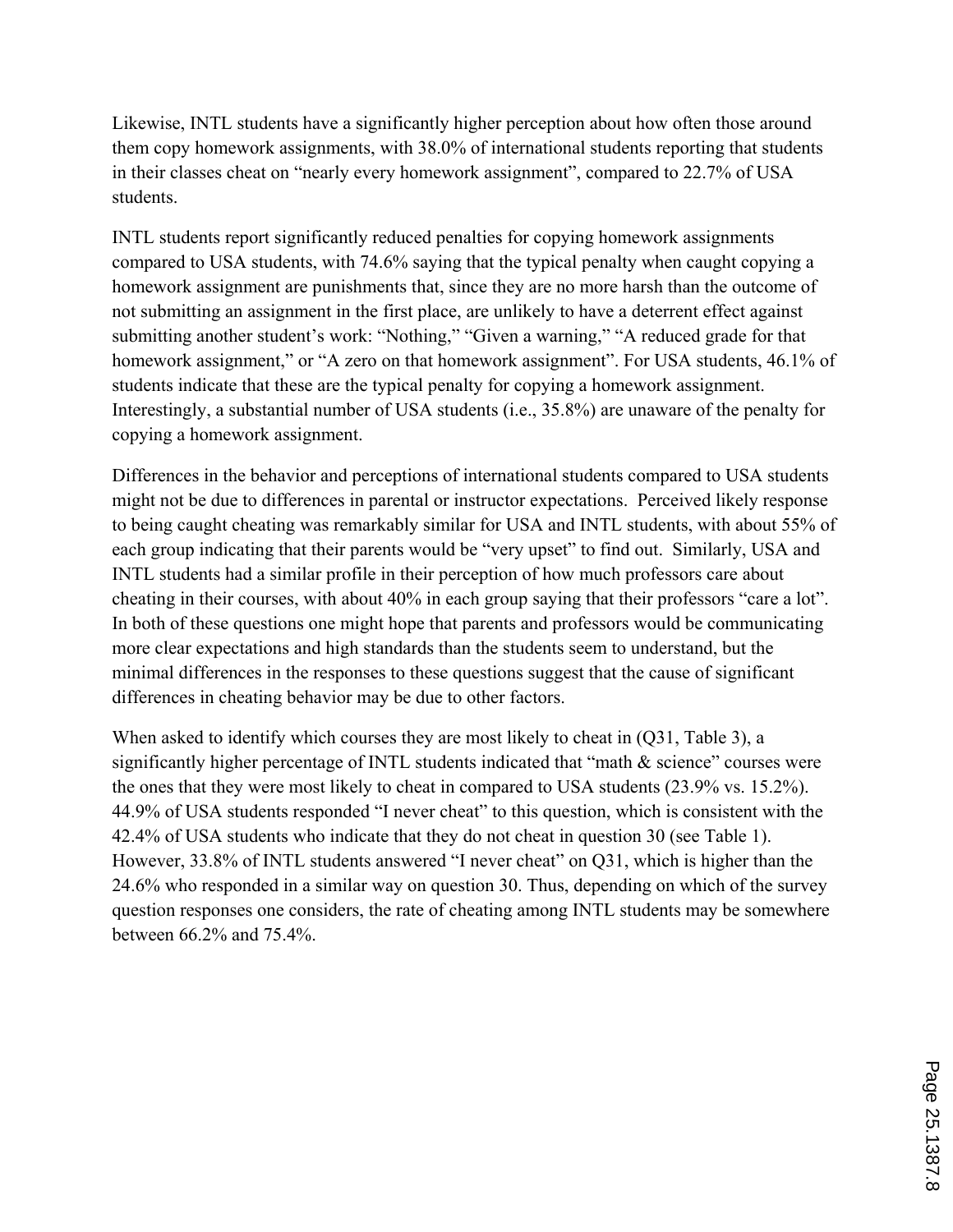Likewise, INTL students have a significantly higher perception about how often those around them copy homework assignments, with 38.0% of international students reporting that students in their classes cheat on "nearly every homework assignment", compared to 22.7% of USA students.

INTL students report significantly reduced penalties for copying homework assignments compared to USA students, with 74.6% saying that the typical penalty when caught copying a homework assignment are punishments that, since they are no more harsh than the outcome of not submitting an assignment in the first place, are unlikely to have a deterrent effect against submitting another student's work: "Nothing," "Given a warning," "A reduced grade for that homework assignment," or "A zero on that homework assignment". For USA students, 46.1% of students indicate that these are the typical penalty for copying a homework assignment. Interestingly, a substantial number of USA students (i.e., 35.8%) are unaware of the penalty for copying a homework assignment.

Differences in the behavior and perceptions of international students compared to USA students might not be due to differences in parental or instructor expectations. Perceived likely response to being caught cheating was remarkably similar for USA and INTL students, with about 55% of each group indicating that their parents would be "very upset" to find out. Similarly, USA and INTL students had a similar profile in their perception of how much professors care about cheating in their courses, with about 40% in each group saying that their professors "care a lot". In both of these questions one might hope that parents and professors would be communicating more clear expectations and high standards than the students seem to understand, but the minimal differences in the responses to these questions suggest that the cause of significant differences in cheating behavior may be due to other factors.

When asked to identify which courses they are most likely to cheat in (O31, Table 3), a significantly higher percentage of INTL students indicated that "math & science" courses were the ones that they were most likely to cheat in compared to USA students (23.9% vs. 15.2%). 44.9% of USA students responded "I never cheat" to this question, which is consistent with the 42.4% of USA students who indicate that they do not cheat in question 30 (see Table 1). However, 33.8% of INTL students answered "I never cheat" on Q31, which is higher than the 24.6% who responded in a similar way on question 30. Thus, depending on which of the survey question responses one considers, the rate of cheating among INTL students may be somewhere between 66.2% and 75.4%.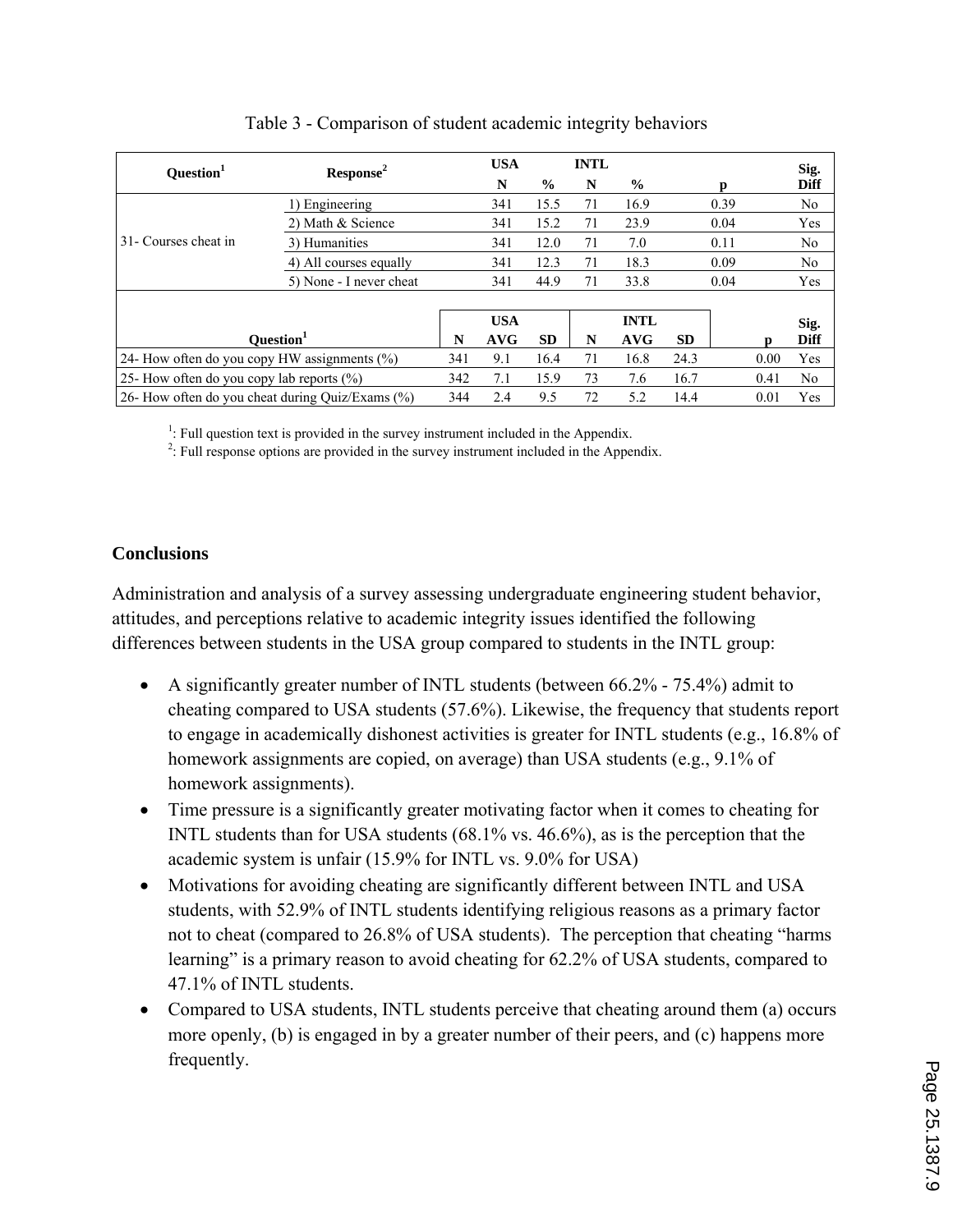| Question <sup>1</sup>                               | Response <sup>2</sup>   |     | <b>USA</b> |               | <b>INTL</b> |               |           |      |      | Sig.           |
|-----------------------------------------------------|-------------------------|-----|------------|---------------|-------------|---------------|-----------|------|------|----------------|
|                                                     |                         |     | N          | $\frac{0}{0}$ | N           | $\frac{6}{9}$ |           | n    |      | <b>Diff</b>    |
| 31- Courses cheat in                                | Engineering             |     | 341        | 15.5          | 71          | 16.9          |           | 0.39 |      | N <sub>0</sub> |
|                                                     | 2) Math & Science       |     | 341        | 15.2          | 71          | 23.9          |           | 0.04 |      | Yes            |
|                                                     | 3) Humanities           |     | 341        | 12.0          | 71          | 7.0           |           | 0.11 |      | N <sub>0</sub> |
|                                                     | 4) All courses equally  |     | 341        | 12.3          | 71          | 18.3          |           | 0.09 |      | N <sub>0</sub> |
|                                                     | 5) None - I never cheat |     | 341        | 44.9          | 71          | 33.8          |           | 0.04 |      | Yes            |
|                                                     |                         |     |            |               |             |               |           |      |      |                |
|                                                     |                         |     | <b>USA</b> |               |             | <b>INTL</b>   |           |      |      | Sig.           |
| Ouestion <sup>1</sup>                               |                         | N   | <b>AVG</b> | <b>SD</b>     | N           | AVG           | <b>SD</b> |      |      | <b>Diff</b>    |
| 24- How often do you copy HW assignments $(\%)$     |                         | 341 | 9.1        | 16.4          | 71          | 16.8          | 24.3      |      | 0.00 | Yes            |
| 25- How often do you copy lab reports (%)           |                         | 342 | 7.1        | 15.9          | 73          | 7.6           | 16.7      |      | 0.41 | N <sub>0</sub> |
| 26- How often do you cheat during Ouiz/Exams $(\%)$ |                         | 344 | 2.4        | 9.5           | 72          | 5.2           | 14.4      |      | 0.01 | Yes            |

| Table 3 - Comparison of student academic integrity behaviors |  |  |
|--------------------------------------------------------------|--|--|
|--------------------------------------------------------------|--|--|

<sup>1</sup>: Full question text is provided in the survey instrument included in the Appendix.<br><sup>2</sup>: Full regnance ontions are provided in the survey instrument included in the Appendix.

 $2$ : Full response options are provided in the survey instrument included in the Appendix.

## **Conclusions**

Administration and analysis of a survey assessing undergraduate engineering student behavior, attitudes, and perceptions relative to academic integrity issues identified the following differences between students in the USA group compared to students in the INTL group:

- A significantly greater number of INTL students (between 66.2% 75.4%) admit to cheating compared to USA students (57.6%). Likewise, the frequency that students report to engage in academically dishonest activities is greater for INTL students (e.g., 16.8% of homework assignments are copied, on average) than USA students (e.g., 9.1% of homework assignments).
- Time pressure is a significantly greater motivating factor when it comes to cheating for INTL students than for USA students (68.1% vs. 46.6%), as is the perception that the academic system is unfair (15.9% for INTL vs. 9.0% for USA)
- Motivations for avoiding cheating are significantly different between INTL and USA students, with 52.9% of INTL students identifying religious reasons as a primary factor not to cheat (compared to 26.8% of USA students). The perception that cheating "harms learning" is a primary reason to avoid cheating for 62.2% of USA students, compared to 47.1% of INTL students.
- Compared to USA students, INTL students perceive that cheating around them (a) occurs more openly, (b) is engaged in by a greater number of their peers, and (c) happens more frequently.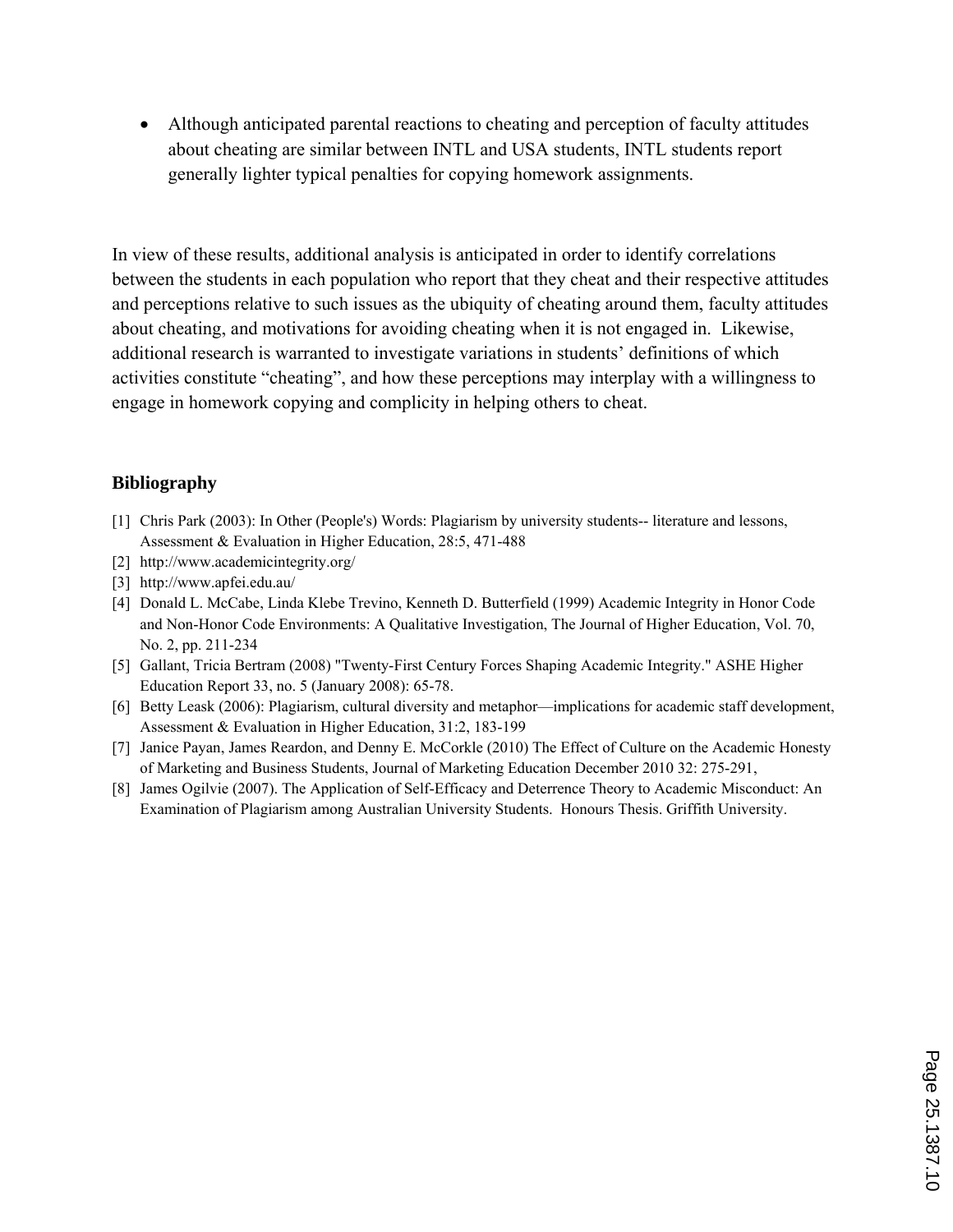Although anticipated parental reactions to cheating and perception of faculty attitudes about cheating are similar between INTL and USA students, INTL students report generally lighter typical penalties for copying homework assignments.

In view of these results, additional analysis is anticipated in order to identify correlations between the students in each population who report that they cheat and their respective attitudes and perceptions relative to such issues as the ubiquity of cheating around them, faculty attitudes about cheating, and motivations for avoiding cheating when it is not engaged in. Likewise, additional research is warranted to investigate variations in students' definitions of which activities constitute "cheating", and how these perceptions may interplay with a willingness to engage in homework copying and complicity in helping others to cheat.

#### **Bibliography**

- [1] Chris Park (2003): In Other (People's) Words: Plagiarism by university students-- literature and lessons, Assessment & Evaluation in Higher Education, 28:5, 471-488
- [2] http://www.academicintegrity.org/
- [3] http://www.apfei.edu.au/
- [4] Donald L. McCabe, Linda Klebe Trevino, Kenneth D. Butterfield (1999) Academic Integrity in Honor Code and Non-Honor Code Environments: A Qualitative Investigation, The Journal of Higher Education, Vol. 70, No. 2, pp. 211-234
- [5] Gallant, Tricia Bertram (2008) "Twenty-First Century Forces Shaping Academic Integrity." ASHE Higher Education Report 33, no. 5 (January 2008): 65-78.
- [6] Betty Leask (2006): Plagiarism, cultural diversity and metaphor—implications for academic staff development, Assessment & Evaluation in Higher Education, 31:2, 183-199
- [7] Janice Payan, James Reardon, and Denny E. McCorkle (2010) The Effect of Culture on the Academic Honesty of Marketing and Business Students, Journal of Marketing Education December 2010 32: 275-291,
- [8] James Ogilvie (2007). The Application of Self-Efficacy and Deterrence Theory to Academic Misconduct: An Examination of Plagiarism among Australian University Students. Honours Thesis. Griffith University.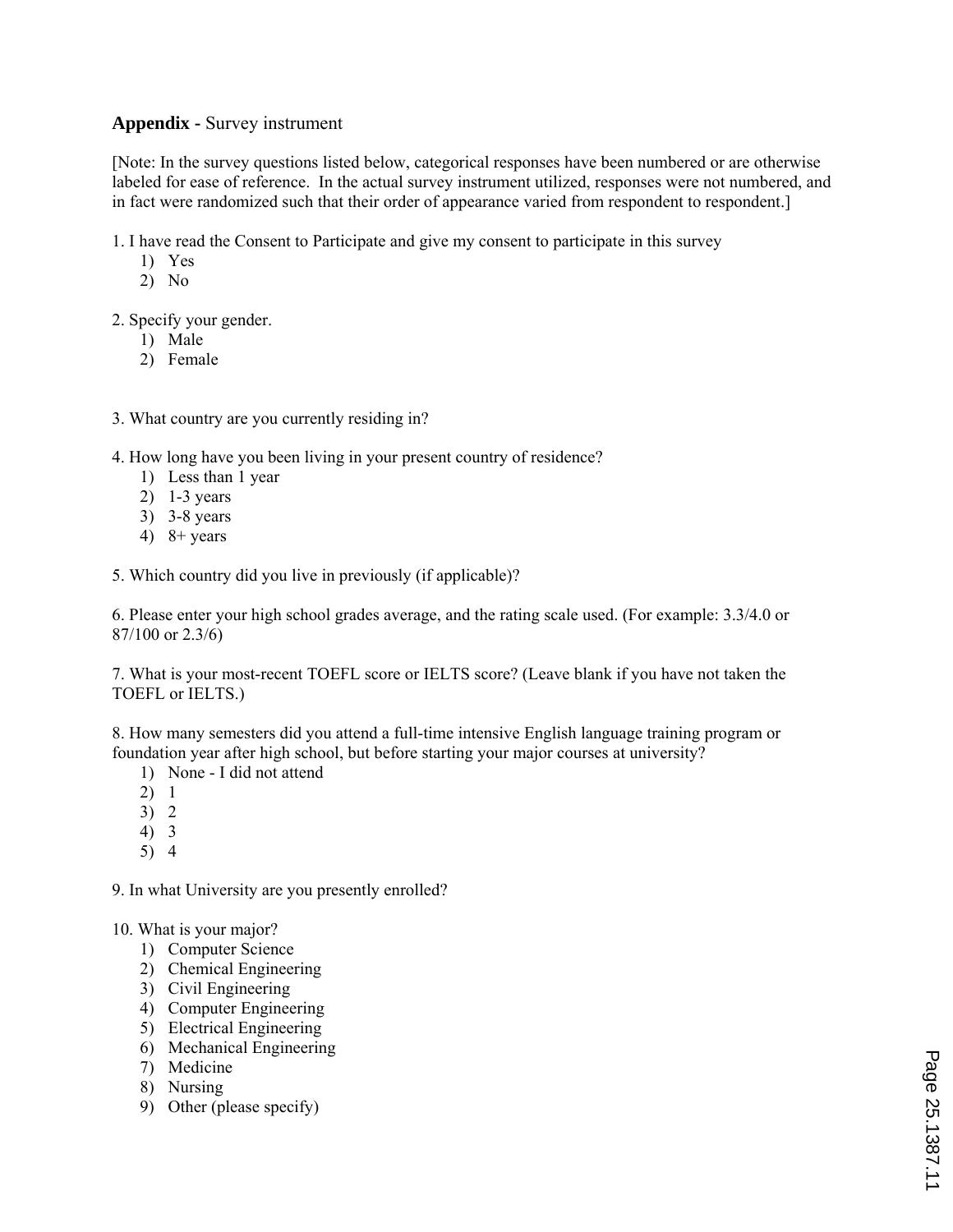## **Appendix -** Survey instrument

[Note: In the survey questions listed below, categorical responses have been numbered or are otherwise labeled for ease of reference. In the actual survey instrument utilized, responses were not numbered, and in fact were randomized such that their order of appearance varied from respondent to respondent.]

- 1. I have read the Consent to Participate and give my consent to participate in this survey
	- 1) Yes
	- 2) No
- 2. Specify your gender.
	- 1) Male
	- 2) Female
- 3. What country are you currently residing in?
- 4. How long have you been living in your present country of residence?
	- 1) Less than 1 year
	- 2) 1-3 years
	- 3) 3-8 years
	- 4)  $8 + \text{years}$
- 5. Which country did you live in previously (if applicable)?

6. Please enter your high school grades average, and the rating scale used. (For example: 3.3/4.0 or 87/100 or 2.3/6)

7. What is your most-recent TOEFL score or IELTS score? (Leave blank if you have not taken the TOEFL or IELTS.)

8. How many semesters did you attend a full-time intensive English language training program or foundation year after high school, but before starting your major courses at university?

- 1) None I did not attend
- 2) 1
- 3) 2
- 4) 3
- 5) 4

9. In what University are you presently enrolled?

#### 10. What is your major?

- 1) Computer Science
- 2) Chemical Engineering
- 3) Civil Engineering
- 4) Computer Engineering
- 5) Electrical Engineering
- 6) Mechanical Engineering
- 7) Medicine
- 8) Nursing
- 9) Other (please specify)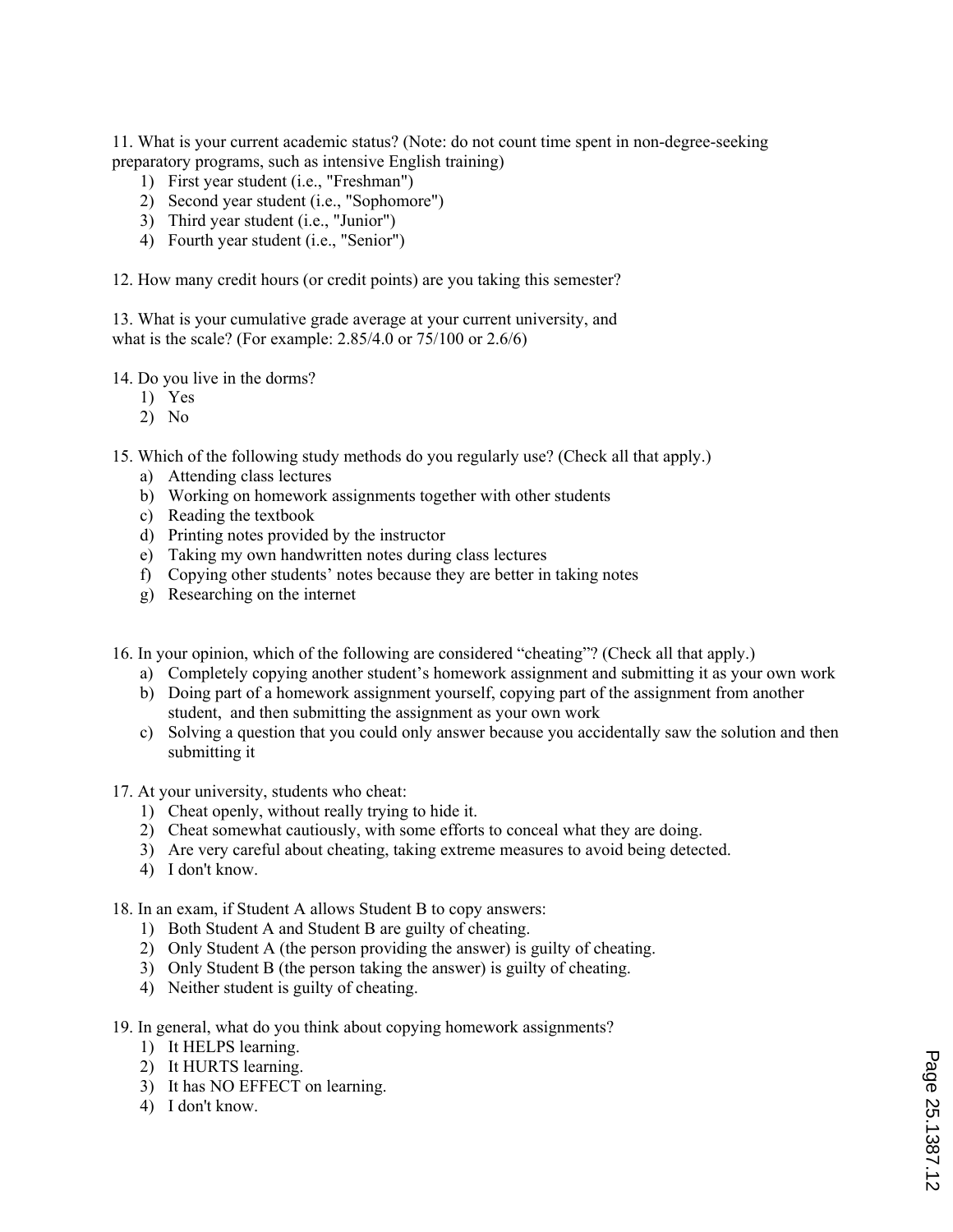11. What is your current academic status? (Note: do not count time spent in non-degree-seeking preparatory programs, such as intensive English training)

- 1) First year student (i.e., "Freshman")
- 2) Second year student (i.e., "Sophomore")
- 3) Third year student (i.e., "Junior")
- 4) Fourth year student (i.e., "Senior")

12. How many credit hours (or credit points) are you taking this semester?

13. What is your cumulative grade average at your current university, and what is the scale? (For example: 2.85/4.0 or 75/100 or 2.6/6)

14. Do you live in the dorms?

- 1) Yes
- 2) No

15. Which of the following study methods do you regularly use? (Check all that apply.)

- a) Attending class lectures
- b) Working on homework assignments together with other students
- c) Reading the textbook
- d) Printing notes provided by the instructor
- e) Taking my own handwritten notes during class lectures
- f) Copying other students' notes because they are better in taking notes
- g) Researching on the internet

16. In your opinion, which of the following are considered "cheating"? (Check all that apply.)

- a) Completely copying another student's homework assignment and submitting it as your own work
- b) Doing part of a homework assignment yourself, copying part of the assignment from another student, and then submitting the assignment as your own work
- c) Solving a question that you could only answer because you accidentally saw the solution and then submitting it
- 17. At your university, students who cheat:
	- 1) Cheat openly, without really trying to hide it.
	- 2) Cheat somewhat cautiously, with some efforts to conceal what they are doing.
	- 3) Are very careful about cheating, taking extreme measures to avoid being detected.
	- 4) I don't know.

18. In an exam, if Student A allows Student B to copy answers:

- 1) Both Student A and Student B are guilty of cheating.
- 2) Only Student A (the person providing the answer) is guilty of cheating.
- 3) Only Student B (the person taking the answer) is guilty of cheating.
- 4) Neither student is guilty of cheating.

19. In general, what do you think about copying homework assignments?

- 1) It HELPS learning.
- 2) It HURTS learning.
- 3) It has NO EFFECT on learning.
- 4) I don't know.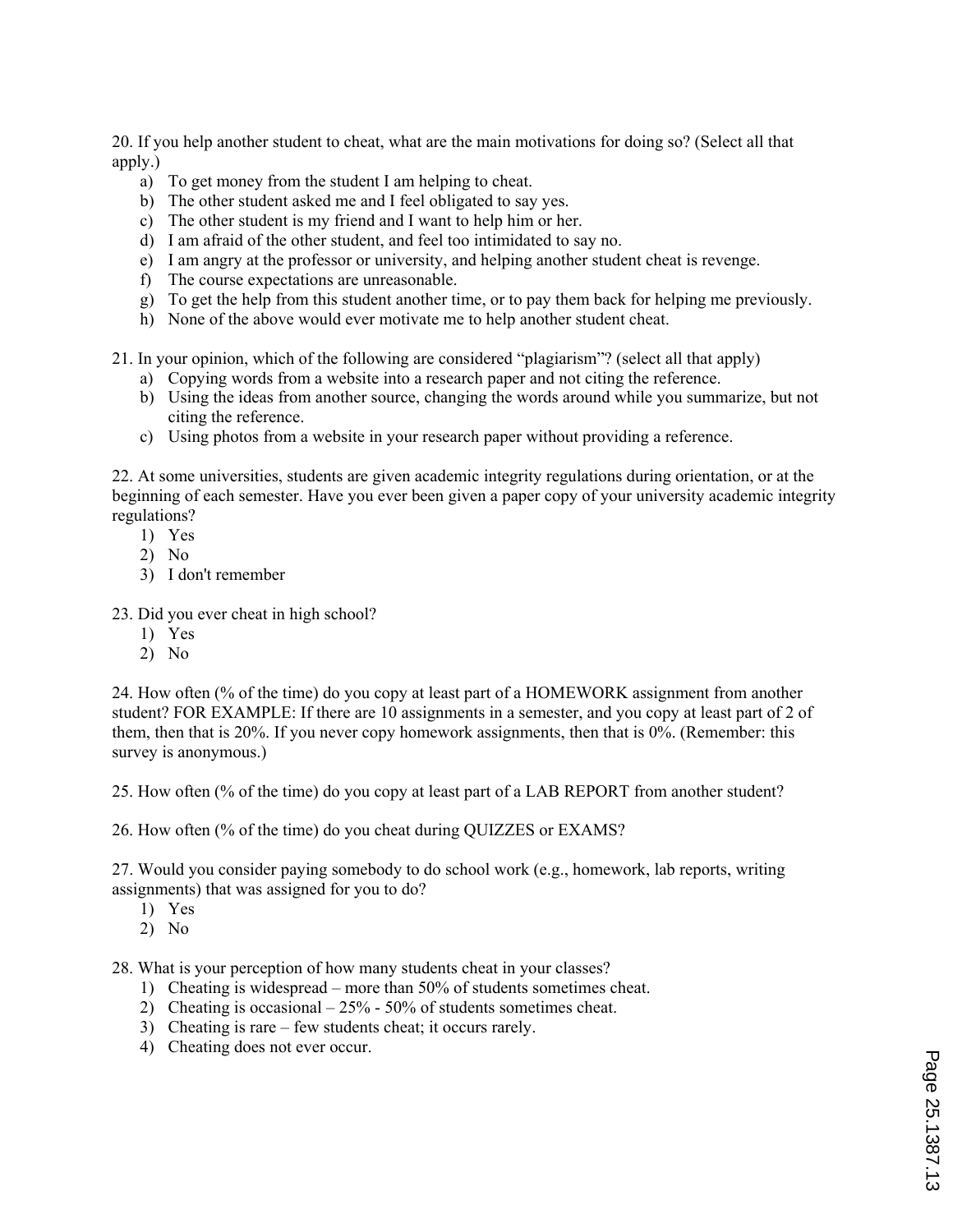20. If you help another student to cheat, what are the main motivations for doing so? (Select all that apply.)

- a) To get money from the student I am helping to cheat.
- b) The other student asked me and I feel obligated to say yes.
- c) The other student is my friend and I want to help him or her.
- d) I am afraid of the other student, and feel too intimidated to say no.
- e) I am angry at the professor or university, and helping another student cheat is revenge.
- f) The course expectations are unreasonable.
- g) To get the help from this student another time, or to pay them back for helping me previously.
- h) None of the above would ever motivate me to help another student cheat.
- 21. In your opinion, which of the following are considered "plagiarism"? (select all that apply)
	- a) Copying words from a website into a research paper and not citing the reference.
	- b) Using the ideas from another source, changing the words around while you summarize, but not citing the reference.
	- c) Using photos from a website in your research paper without providing a reference.

22. At some universities, students are given academic integrity regulations during orientation, or at the beginning of each semester. Have you ever been given a paper copy of your university academic integrity regulations?

- 1) Yes
- 2) No
- 3) I don't remember
- 23. Did you ever cheat in high school?
	- 1) Yes
	- 2) No

24. How often (% of the time) do you copy at least part of a HOMEWORK assignment from another student? FOR EXAMPLE: If there are 10 assignments in a semester, and you copy at least part of 2 of them, then that is 20%. If you never copy homework assignments, then that is 0%. (Remember: this survey is anonymous.)

25. How often (% of the time) do you copy at least part of a LAB REPORT from another student?

26. How often (% of the time) do you cheat during QUIZZES or EXAMS?

27. Would you consider paying somebody to do school work (e.g., homework, lab reports, writing assignments) that was assigned for you to do?

- 1) Yes
- 2) No

28. What is your perception of how many students cheat in your classes?

- 1) Cheating is widespread more than 50% of students sometimes cheat.
- 2) Cheating is occasional 25% 50% of students sometimes cheat.
- 3) Cheating is rare few students cheat; it occurs rarely.
- 4) Cheating does not ever occur.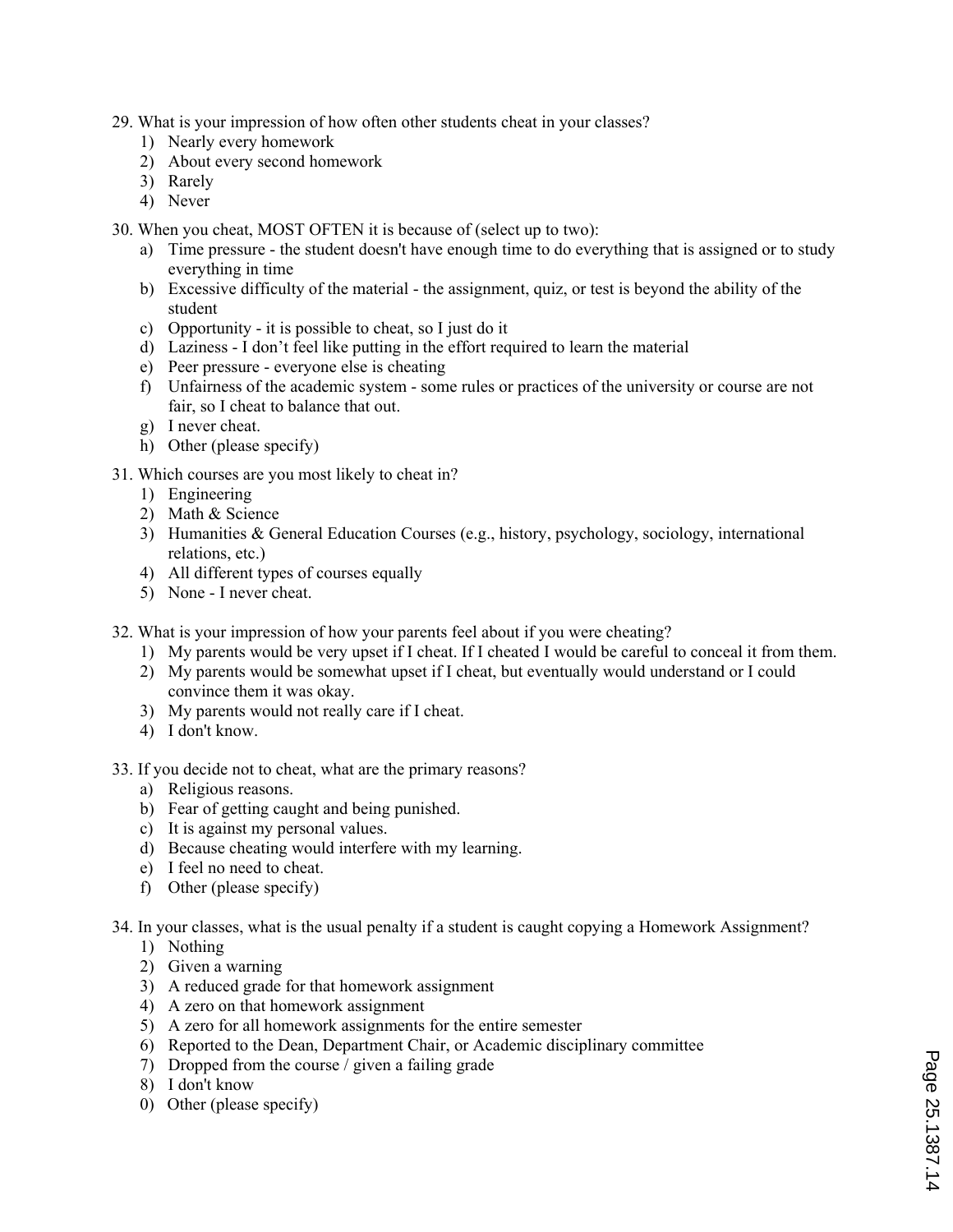- 29. What is your impression of how often other students cheat in your classes?
	- 1) Nearly every homework
	- 2) About every second homework
	- 3) Rarely
	- 4) Never
- 30. When you cheat, MOST OFTEN it is because of (select up to two):
	- a) Time pressure the student doesn't have enough time to do everything that is assigned or to study everything in time
	- b) Excessive difficulty of the material the assignment, quiz, or test is beyond the ability of the student
	- c) Opportunity it is possible to cheat, so I just do it
	- d) Laziness I don't feel like putting in the effort required to learn the material
	- e) Peer pressure everyone else is cheating
	- f) Unfairness of the academic system some rules or practices of the university or course are not fair, so I cheat to balance that out.
	- g) I never cheat.
	- h) Other (please specify)
- 31. Which courses are you most likely to cheat in?
	- 1) Engineering
	- 2) Math & Science
	- 3) Humanities & General Education Courses (e.g., history, psychology, sociology, international relations, etc.)
	- 4) All different types of courses equally
	- 5) None I never cheat.
- 32. What is your impression of how your parents feel about if you were cheating?
	- 1) My parents would be very upset if I cheat. If I cheated I would be careful to conceal it from them.
	- 2) My parents would be somewhat upset if I cheat, but eventually would understand or I could convince them it was okay.
	- 3) My parents would not really care if I cheat.
	- 4) I don't know.
- 33. If you decide not to cheat, what are the primary reasons?
	- a) Religious reasons.
	- b) Fear of getting caught and being punished.
	- c) It is against my personal values.
	- d) Because cheating would interfere with my learning.
	- e) I feel no need to cheat.
	- f) Other (please specify)
- 34. In your classes, what is the usual penalty if a student is caught copying a Homework Assignment?
	- 1) Nothing
	- 2) Given a warning
	- 3) A reduced grade for that homework assignment
	- 4) A zero on that homework assignment
	- 5) A zero for all homework assignments for the entire semester
	- 6) Reported to the Dean, Department Chair, or Academic disciplinary committee
	- 7) Dropped from the course / given a failing grade
	- 8) I don't know
	- 0) Other (please specify)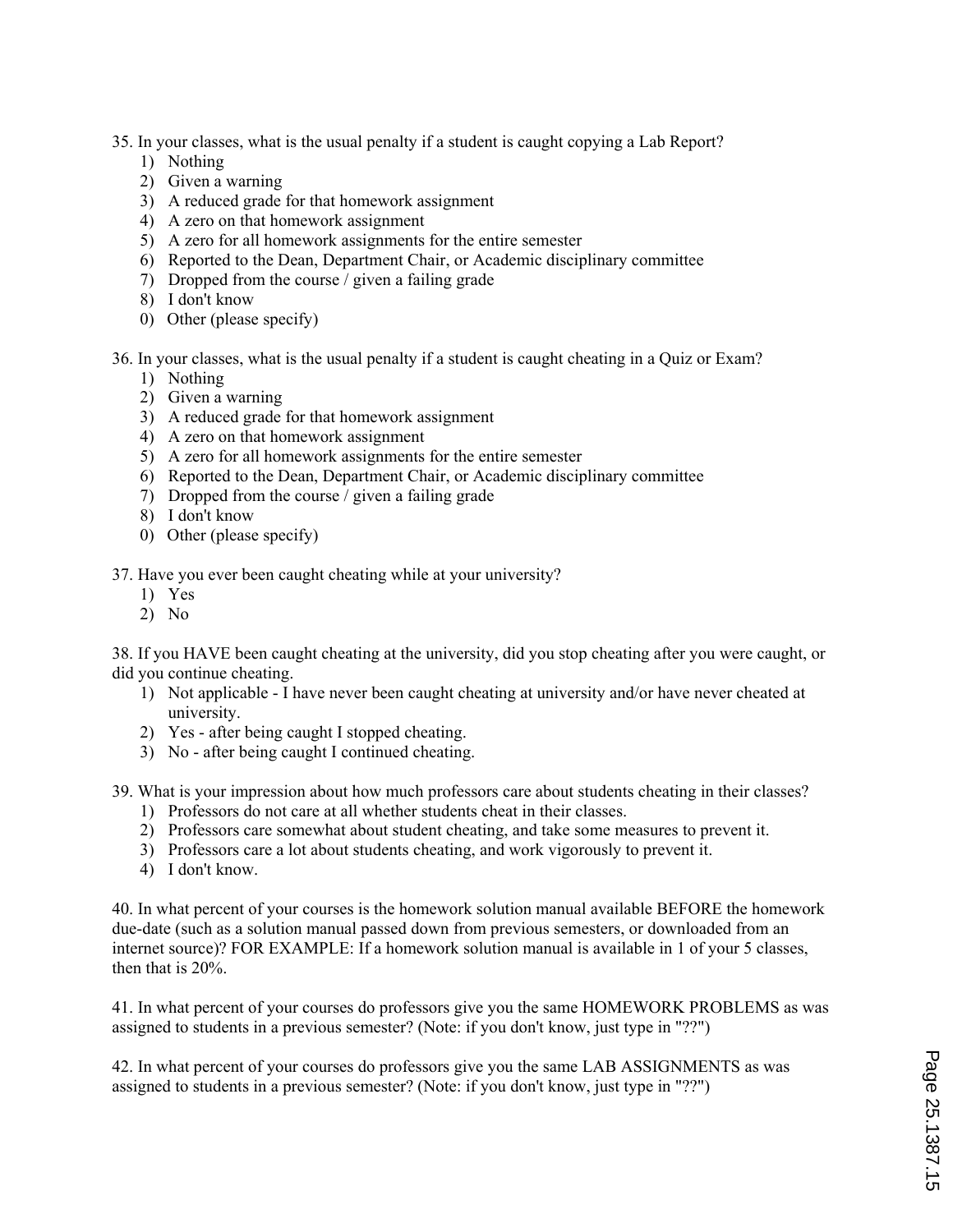- 35. In your classes, what is the usual penalty if a student is caught copying a Lab Report?
	- 1) Nothing
	- 2) Given a warning
	- 3) A reduced grade for that homework assignment
	- 4) A zero on that homework assignment
	- 5) A zero for all homework assignments for the entire semester
	- 6) Reported to the Dean, Department Chair, or Academic disciplinary committee
	- 7) Dropped from the course / given a failing grade
	- 8) I don't know
	- 0) Other (please specify)
- 36. In your classes, what is the usual penalty if a student is caught cheating in a Quiz or Exam?
	- 1) Nothing
	- 2) Given a warning
	- 3) A reduced grade for that homework assignment
	- 4) A zero on that homework assignment
	- 5) A zero for all homework assignments for the entire semester
	- 6) Reported to the Dean, Department Chair, or Academic disciplinary committee
	- 7) Dropped from the course / given a failing grade
	- 8) I don't know
	- 0) Other (please specify)

37. Have you ever been caught cheating while at your university?

- 1) Yes
- 2) No

38. If you HAVE been caught cheating at the university, did you stop cheating after you were caught, or did you continue cheating.

- 1) Not applicable I have never been caught cheating at university and/or have never cheated at university.
- 2) Yes after being caught I stopped cheating.
- 3) No after being caught I continued cheating.

39. What is your impression about how much professors care about students cheating in their classes?

- 1) Professors do not care at all whether students cheat in their classes.
- 2) Professors care somewhat about student cheating, and take some measures to prevent it.
- 3) Professors care a lot about students cheating, and work vigorously to prevent it.
- 4) I don't know.

40. In what percent of your courses is the homework solution manual available BEFORE the homework due-date (such as a solution manual passed down from previous semesters, or downloaded from an internet source)? FOR EXAMPLE: If a homework solution manual is available in 1 of your 5 classes, then that is 20%.

41. In what percent of your courses do professors give you the same HOMEWORK PROBLEMS as was assigned to students in a previous semester? (Note: if you don't know, just type in "??")

42. In what percent of your courses do professors give you the same LAB ASSIGNMENTS as was assigned to students in a previous semester? (Note: if you don't know, just type in "??")